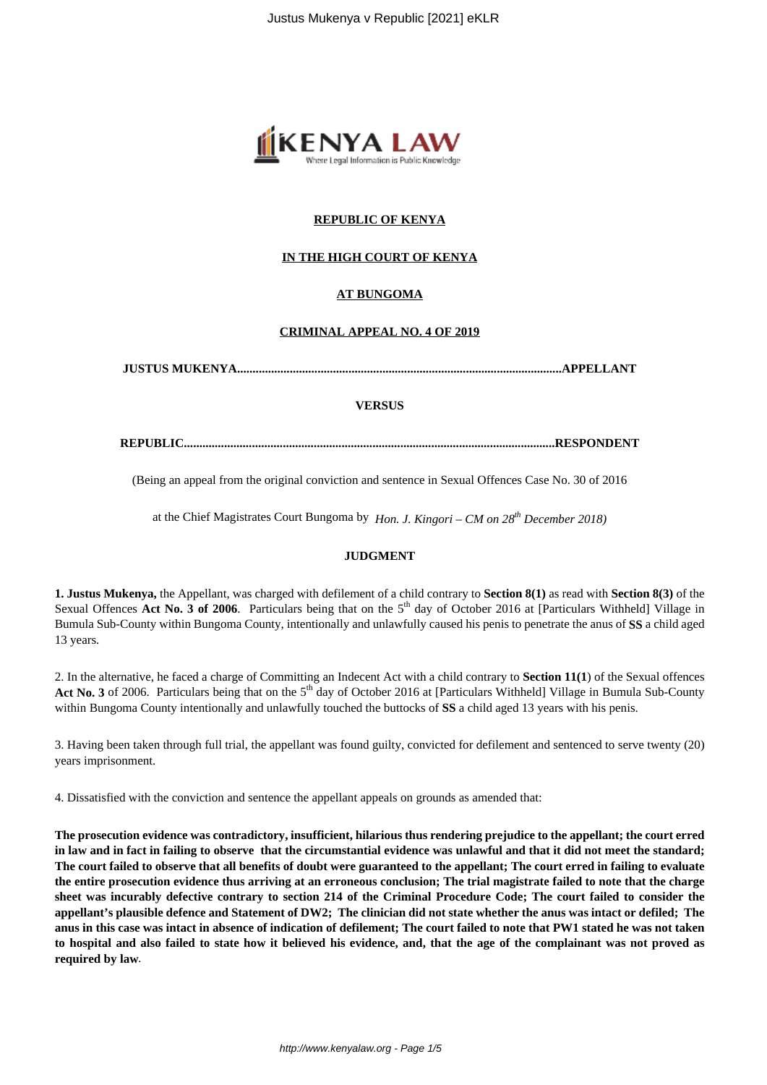

# **REPUBLIC OF KENYA**

# **IN THE HIGH COURT OF KENYA**

# **AT BUNGOMA**

## **CRIMINAL APPEAL NO. 4 OF 2019**

**JUSTUS MUKENYA.........................................................................................................APPELLANT**

#### **VERSUS**

**REPUBLIC........................................................................................................................RESPONDENT**

(Being an appeal from the original conviction and sentence in Sexual Offences Case No. 30 of 2016

at the Chief Magistrates Court Bungoma by *Hon. J. Kingori – CM on 28th December 2018)*

## **JUDGMENT**

**1. Justus Mukenya,** the Appellant, was charged with defilement of a child contrary to **Section 8(1)** as read with **Section 8(3)** of the Sexual Offences Act No. 3 of 2006. Particulars being that on the 5<sup>th</sup> day of October 2016 at [Particulars Withheld] Village in Bumula Sub-County within Bungoma County, intentionally and unlawfully caused his penis to penetrate the anus of **SS** a child aged 13 years.

2. In the alternative, he faced a charge of Committing an Indecent Act with a child contrary to **Section 11(1**) of the Sexual offences Act No. 3 of 2006. Particulars being that on the 5<sup>th</sup> day of October 2016 at [Particulars Withheld] Village in Bumula Sub-County within Bungoma County intentionally and unlawfully touched the buttocks of **SS** a child aged 13 years with his penis.

3. Having been taken through full trial, the appellant was found guilty, convicted for defilement and sentenced to serve twenty (20) years imprisonment.

4. Dissatisfied with the conviction and sentence the appellant appeals on grounds as amended that:

**The prosecution evidence was contradictory, insufficient, hilarious thus rendering prejudice to the appellant; the court erred in law and in fact in failing to observe that the circumstantial evidence was unlawful and that it did not meet the standard; The court failed to observe that all benefits of doubt were guaranteed to the appellant; The court erred in failing to evaluate the entire prosecution evidence thus arriving at an erroneous conclusion; The trial magistrate failed to note that the charge sheet was incurably defective contrary to section 214 of the Criminal Procedure Code; The court failed to consider the appellant's plausible defence and Statement of DW2; The clinician did not state whether the anus was intact or defiled; The anus in this case was intact in absence of indication of defilement; The court failed to note that PW1 stated he was not taken to hospital and also failed to state how it believed his evidence, and, that the age of the complainant was not proved as required by law***.*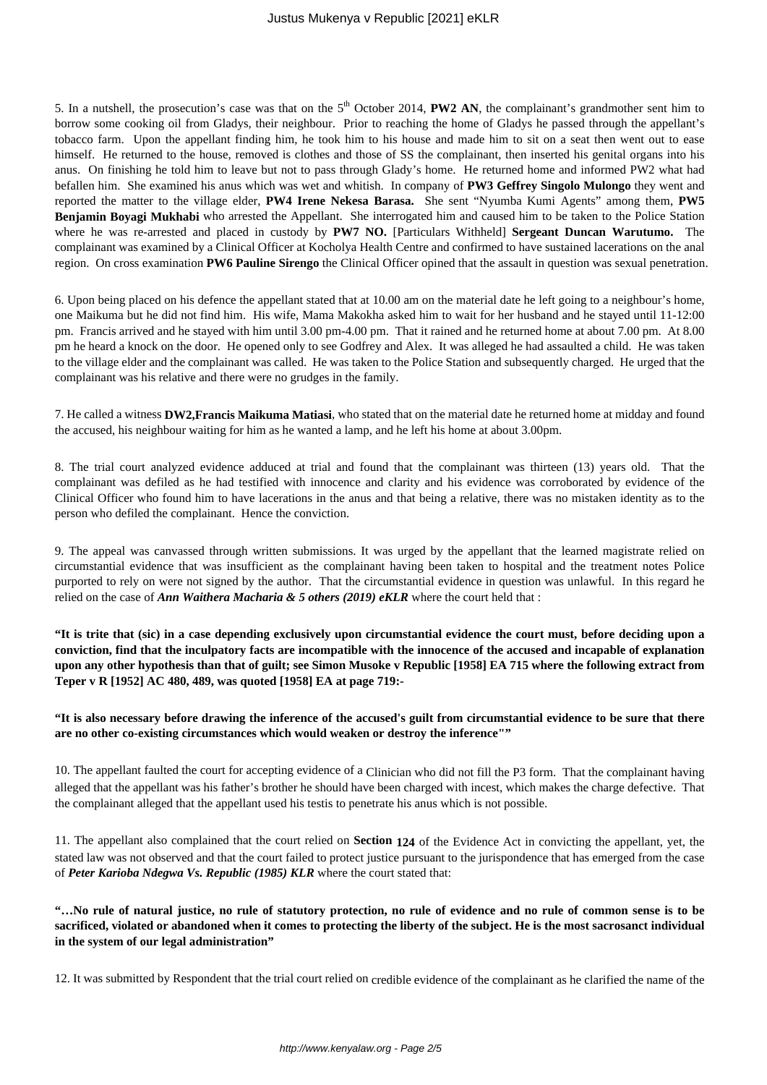5. In a nutshell, the prosecution's case was that on the 5<sup>th</sup> October 2014, **PW2 AN**, the complainant's grandmother sent him to borrow some cooking oil from Gladys, their neighbour. Prior to reaching the home of Gladys he passed through the appellant's tobacco farm. Upon the appellant finding him, he took him to his house and made him to sit on a seat then went out to ease himself. He returned to the house, removed is clothes and those of SS the complainant, then inserted his genital organs into his anus. On finishing he told him to leave but not to pass through Glady's home. He returned home and informed PW2 what had befallen him. She examined his anus which was wet and whitish. In company of **PW3 Geffrey Singolo Mulongo** they went and reported the matter to the village elder, **PW4 Irene Nekesa Barasa.** She sent "Nyumba Kumi Agents" among them, **PW5 Benjamin Boyagi Mukhabi** who arrested the Appellant. She interrogated him and caused him to be taken to the Police Station where he was re-arrested and placed in custody by PW7 NO. [Particulars Withheld] Sergeant Duncan Warutumo. The complainant was examined by a Clinical Officer at Kocholya Health Centre and confirmed to have sustained lacerations on the anal region. On cross examination **PW6 Pauline Sirengo** the Clinical Officer opined that the assault in question was sexual penetration.

6. Upon being placed on his defence the appellant stated that at 10.00 am on the material date he left going to a neighbour's home, one Maikuma but he did not find him. His wife, Mama Makokha asked him to wait for her husband and he stayed until 11-12:00 pm. Francis arrived and he stayed with him until 3.00 pm-4.00 pm. That it rained and he returned home at about 7.00 pm. At 8.00 pm he heard a knock on the door. He opened only to see Godfrey and Alex. It was alleged he had assaulted a child. He was taken to the village elder and the complainant was called. He was taken to the Police Station and subsequently charged. He urged that the complainant was his relative and there were no grudges in the family.

7. He called a witness **DW2,Francis Maikuma Matiasi**, who stated that on the material date he returned home at midday and found the accused, his neighbour waiting for him as he wanted a lamp, and he left his home at about 3.00pm.

8. The trial court analyzed evidence adduced at trial and found that the complainant was thirteen (13) years old. That the complainant was defiled as he had testified with innocence and clarity and his evidence was corroborated by evidence of the Clinical Officer who found him to have lacerations in the anus and that being a relative, there was no mistaken identity as to the person who defiled the complainant. Hence the conviction.

9. The appeal was canvassed through written submissions. It was urged by the appellant that the learned magistrate relied on circumstantial evidence that was insufficient as the complainant having been taken to hospital and the treatment notes Police purported to rely on were not signed by the author. That the circumstantial evidence in question was unlawful. In this regard he relied on the case of *Ann Waithera Macharia & 5 others (2019) eKLR* where the court held that :

**"It is trite that (sic) in a case depending exclusively upon circumstantial evidence the court must, before deciding upon a conviction, find that the inculpatory facts are incompatible with the innocence of the accused and incapable of explanation upon any other hypothesis than that of guilt; see Simon Musoke v Republic [1958] EA 715 where the following extract from Teper v R [1952] AC 480, 489, was quoted [1958] EA at page 719:-**

## **"It is also necessary before drawing the inference of the accused's guilt from circumstantial evidence to be sure that there are no other co-existing circumstances which would weaken or destroy the inference""**

10. The appellant faulted the court for accepting evidence of a Clinician who did not fill the P3 form. That the complainant having alleged that the appellant was his father's brother he should have been charged with incest, which makes the charge defective. That the complainant alleged that the appellant used his testis to penetrate his anus which is not possible.

11. The appellant also complained that the court relied on **Section 124** of the Evidence Act in convicting the appellant, yet, the stated law was not observed and that the court failed to protect justice pursuant to the jurispondence that has emerged from the case of *Peter Karioba Ndegwa Vs. Republic (1985) KLR* where the court stated that:

**"…No rule of natural justice, no rule of statutory protection, no rule of evidence and no rule of common sense is to be sacrificed, violated or abandoned when it comes to protecting the liberty of the subject. He is the most sacrosanct individual in the system of our legal administration"**

12. It was submitted by Respondent that the trial court relied on credible evidence of the complainant as he clarified the name of the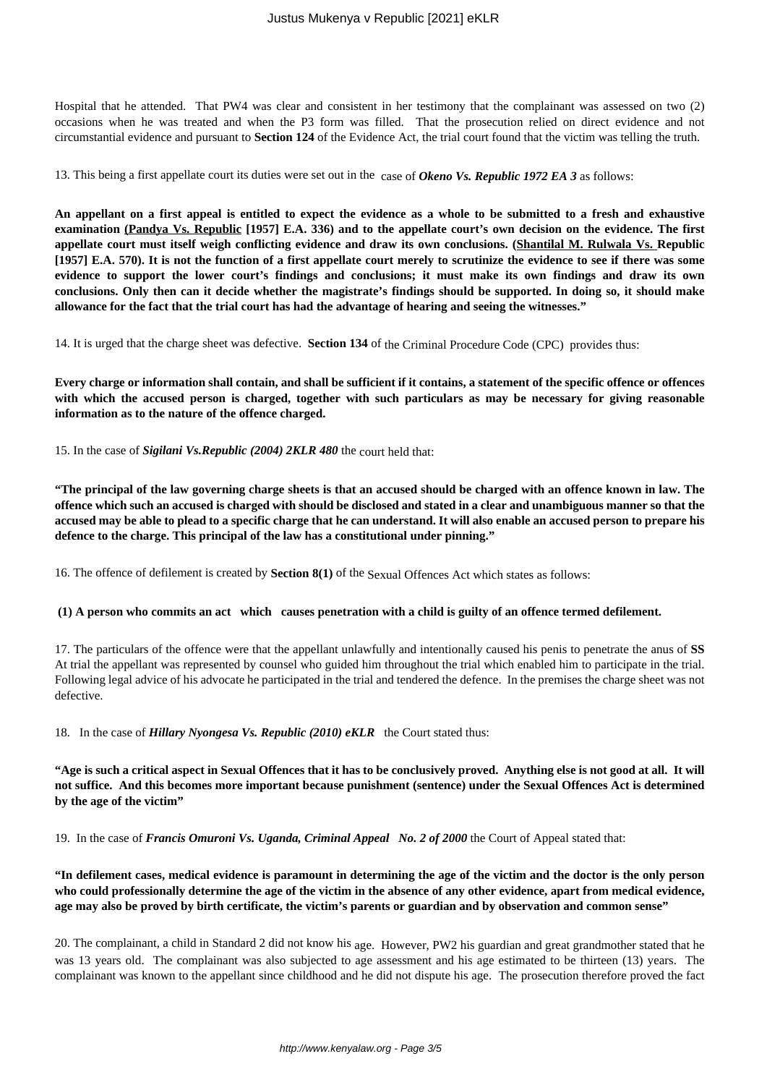Hospital that he attended. That PW4 was clear and consistent in her testimony that the complainant was assessed on two (2) occasions when he was treated and when the P3 form was filled. That the prosecution relied on direct evidence and not circumstantial evidence and pursuant to **Section 124** of the Evidence Act, the trial court found that the victim was telling the truth.

13. This being a first appellate court its duties were set out in the case of *Okeno Vs. Republic 1972 EA 3* as follows:

**An appellant on a first appeal is entitled to expect the evidence as a whole to be submitted to a fresh and exhaustive examination (Pandya Vs. Republic [1957] E.A. 336) and to the appellate court's own decision on the evidence. The first appellate court must itself weigh conflicting evidence and draw its own conclusions. (Shantilal M. Rulwala Vs. Republic [1957] E.A. 570). It is not the function of a first appellate court merely to scrutinize the evidence to see if there was some evidence to support the lower court's findings and conclusions; it must make its own findings and draw its own conclusions. Only then can it decide whether the magistrate's findings should be supported. In doing so, it should make allowance for the fact that the trial court has had the advantage of hearing and seeing the witnesses."**

14. It is urged that the charge sheet was defective. **Section 134** of the Criminal Procedure Code (CPC) provides thus:

**Every charge or information shall contain, and shall be sufficient if it contains, a statement of the specific offence or offences with which the accused person is charged, together with such particulars as may be necessary for giving reasonable information as to the nature of the offence charged.**

15. In the case of *Sigilani Vs.Republic (2004) 2KLR 480* the court held that:

**"The principal of the law governing charge sheets is that an accused should be charged with an offence known in law. The offence which such an accused is charged with should be disclosed and stated in a clear and unambiguous manner so that the accused may be able to plead to a specific charge that he can understand. It will also enable an accused person to prepare his defence to the charge. This principal of the law has a constitutional under pinning."** 

16. The offence of defilement is created by **Section 8(1)** of the Sexual Offences Act which states as follows:

# **(1) A person who commits an act which causes penetration with a child is guilty of an offence termed defilement.**

17. The particulars of the offence were that the appellant unlawfully and intentionally caused his penis to penetrate the anus of **SS** At trial the appellant was represented by counsel who guided him throughout the trial which enabled him to participate in the trial. Following legal advice of his advocate he participated in the trial and tendered the defence. In the premises the charge sheet was not defective.

18. In the case of *Hillary Nyongesa Vs. Republic (2010) eKLR* the Court stated thus:

**"Age is such a critical aspect in Sexual Offences that it has to be conclusively proved. Anything else is not good at all. It will not suffice. And this becomes more important because punishment (sentence) under the Sexual Offences Act is determined by the age of the victim"**

19. In the case of *Francis Omuroni Vs. Uganda, Criminal Appeal No. 2 of 2000* the Court of Appeal stated that:

**"In defilement cases, medical evidence is paramount in determining the age of the victim and the doctor is the only person who could professionally determine the age of the victim in the absence of any other evidence, apart from medical evidence, age may also be proved by birth certificate, the victim's parents or guardian and by observation and common sense"**

20. The complainant, a child in Standard 2 did not know his age. However, PW2 his guardian and great grandmother stated that he was 13 years old. The complainant was also subjected to age assessment and his age estimated to be thirteen (13) years. The complainant was known to the appellant since childhood and he did not dispute his age. The prosecution therefore proved the fact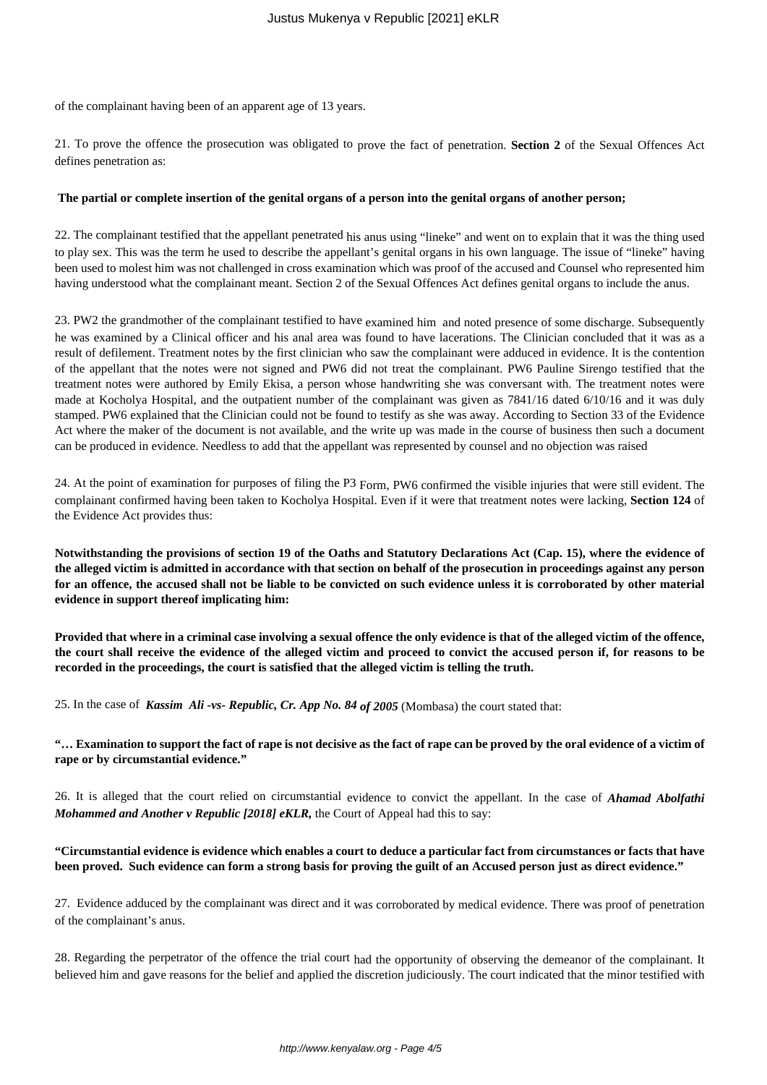of the complainant having been of an apparent age of 13 years.

21. To prove the offence the prosecution was obligated to prove the fact of penetration. **Section 2** of the Sexual Offences Act defines penetration as:

#### **The partial or complete insertion of the genital organs of a person into the genital organs of another person;**

22. The complainant testified that the appellant penetrated his anus using "lineke" and went on to explain that it was the thing used to play sex. This was the term he used to describe the appellant's genital organs in his own language. The issue of "lineke" having been used to molest him was not challenged in cross examination which was proof of the accused and Counsel who represented him having understood what the complainant meant. Section 2 of the Sexual Offences Act defines genital organs to include the anus.

23. PW2 the grandmother of the complainant testified to have examined him and noted presence of some discharge. Subsequently he was examined by a Clinical officer and his anal area was found to have lacerations. The Clinician concluded that it was as a result of defilement. Treatment notes by the first clinician who saw the complainant were adduced in evidence. It is the contention of the appellant that the notes were not signed and PW6 did not treat the complainant. PW6 Pauline Sirengo testified that the treatment notes were authored by Emily Ekisa, a person whose handwriting she was conversant with. The treatment notes were made at Kocholya Hospital, and the outpatient number of the complainant was given as 7841/16 dated 6/10/16 and it was duly stamped. PW6 explained that the Clinician could not be found to testify as she was away. According to Section 33 of the Evidence Act where the maker of the document is not available, and the write up was made in the course of business then such a document can be produced in evidence. Needless to add that the appellant was represented by counsel and no objection was raised

24. At the point of examination for purposes of filing the P3 Form, PW6 confirmed the visible injuries that were still evident. The complainant confirmed having been taken to Kocholya Hospital. Even if it were that treatment notes were lacking, **Section 124** of the Evidence Act provides thus:

**Notwithstanding the provisions of section 19 of the Oaths and Statutory Declarations Act (Cap. 15), where the evidence of the alleged victim is admitted in accordance with that section on behalf of the prosecution in proceedings against any person for an offence, the accused shall not be liable to be convicted on such evidence unless it is corroborated by other material evidence in support thereof implicating him:**

**Provided that where in a criminal case involving a sexual offence the only evidence is that of the alleged victim of the offence, the court shall receive the evidence of the alleged victim and proceed to convict the accused person if, for reasons to be recorded in the proceedings, the court is satisfied that the alleged victim is telling the truth.**

25. In the case of *Kassim Ali -vs- Republic, Cr. App No. 84 of 2005* (Mombasa) the court stated that:

**"… Examination to support the fact of rape is not decisive as the fact of rape can be proved by the oral evidence of a victim of rape or by circumstantial evidence."**

26. It is alleged that the court relied on circumstantial evidence to convict the appellant. In the case of *Ahamad Abolfathi Mohammed and Another v Republic [2018] eKLR,* the Court of Appeal had this to say:

**"Circumstantial evidence is evidence which enables a court to deduce a particular fact from circumstances or facts that have been proved. Such evidence can form a strong basis for proving the guilt of an Accused person just as direct evidence."**

27. Evidence adduced by the complainant was direct and it was corroborated by medical evidence. There was proof of penetration of the complainant's anus.

28. Regarding the perpetrator of the offence the trial court had the opportunity of observing the demeanor of the complainant. It believed him and gave reasons for the belief and applied the discretion judiciously. The court indicated that the minor testified with